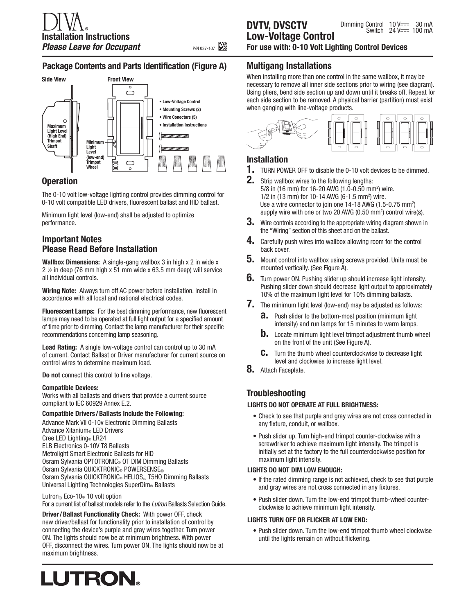## **Package Contents and Parts Identification (Figure A)**



## **Operation**

The 0-10 volt low-voltage lighting control provides dimming control for 0-10 volt compatible LED drivers, fluorescent ballast and HID ballast.

Minimum light level (low-end) shall be adjusted to optimize performance.

## **Important Notes Please Read Before Installation**

**Wallbox Dimensions:** A single-gang wallbox 3 in high x 2 in wide x  $2\frac{1}{2}$  in deep (76 mm high x 51 mm wide x 63.5 mm deep) will service all individual controls.

**Wiring Note:** Always turn off AC power before installation. Install in accordance with all local and national electrical codes.

**Fluorescent Lamps:** For the best dimming performance, new fluorescent lamps may need to be operated at full light output for a specified amount of time prior to dimming. Contact the lamp manufacturer for their specific recommendations concerning lamp seasoning.

**Load Rating:** A single low-voltage control can control up to 30 mA of current. Contact Ballast or Driver manufacturer for current source on control wires to determine maximum load.

**Do not** connect this control to line voltage.

#### **Compatible Devices:**

Works with all ballasts and drivers that provide a current source compliant to IEC 60929 Annex E.2.

#### **Compatible Drivers /Ballasts Include the Following:**

Advance Mark VII 0-10v Electronic Dimming Ballasts Advance Xitanium® LED Drivers Cree LED Lighting® LR24 ELB Electronics 0-10V T8 Ballasts Metrolight Smart Electronic Ballasts for HID Osram Sylvania OPTOTRONIC® OT DIM Dimming Ballasts Osram Sylvania QUICKTRONIC® POWERSENSE® Osram Sylvania QUICKTRONIC® HELIOS<sub>™</sub> T5HO Dimming Ballasts Universal Lighting Technologies SuperDim® Ballasts

#### Lutron<sup>®</sup> Eco-10<sup>®</sup> 10 volt option

For a current list of ballast models refer to the *Lutron* Ballasts Selection Guide.

**Driver/Ballast Functionality Check:** With power OFF, check new driver/ballast for functionality prior to installation of control by connecting the device's purple and gray wires together. Turn power ON. The lights should now be at minimum brightness. With power OFF, disconnect the wires. Turn power ON. The lights should now be at maximum brightness.

# LUTRON.

**For use with: 0-10 Volt Lighting Control Devices**

## **Multigang Installations**

**DVTV, DVSCTV**

When installing more than one control in the same wallbox, it may be necessary to remove all inner side sections prior to wiring (see diagram). Using pliers, bend side section up and down until it breaks off. Repeat for each side section to be removed. A physical barrier (partition) must exist when ganging with line-voltage products.



## **Installation**

- **1.** TURN POWER OFF to disable the 0-10 volt devices to be dimmed.
- **2.** Strip wallbox wires to the following lengths: 5/8 in (16 mm) for 16-20 AWG (1.0-0.50 mm<sup>2</sup>) wire. 1/2 in (13 mm) for 10-14 AWG (6-1.5 mm<sup>2</sup>) wire. Use a wire connector to join one 14-18 AWG (1.5-0.75 mm<sup>2</sup>) supply wire with one or two 20 AWG (0.50 mm<sup>2</sup>) control wire(s).
- **3.** Wire controls according to the appropriate wiring diagram shown in the "Wiring" section of this sheet and on the ballast.
- **4.** Carefully push wires into wallbox allowing room for the control back cover.
- **5.** Mount control into wallbox using screws provided. Units must be mounted vertically. (See Figure A).
- **6.** Turn power ON. Pushing slider up should increase light intensity. Pushing slider down should decrease light output to approximately 10% of the maximum light level for 10% dimming ballasts.
- **7.** The minimum light level (low-end) may be adjusted as follows:
	- **a.** Push slider to the bottom-most position (minimum light intensity) and run lamps for 15 minutes to warm lamps.
	- **b.** Locate minimum light level trimpot adjustment thumb wheel on the front of the unit (See Figure A).
	- **c.** Turn the thumb wheel counterclockwise to decrease light level and clockwise to increase light level.
- **8.** Attach Faceplate.

## **Troubleshooting**

#### **LIGHTS DO NOT OPERATE AT FULL BRIGHTNESS:**

- Check to see that purple and gray wires are not cross connected in any fixture, conduit, or wallbox.
- Push slider up. Turn high-end trimpot counter-clockwise with a screwdriver to achieve maximum light intensity. The trimpot is initially set at the factory to the full counterclockwise position for maximum light intensity.

#### **LIGHTS DO NOT DIM LOW ENOUGH:**

- If the rated dimming range is not achieved, check to see that purple and gray wires are not cross connected in any fixtures.
- Push slider down. Turn the low-end trimpot thumb-wheel counterclockwise to achieve minimum light intensity.

#### **LIGHTS TURN OFF OR FLICKER AT LOW END:**

• Push slider down. Turn the low-end trimpot thumb wheel clockwise until the lights remain on without flickering.

**P/N 037-107**